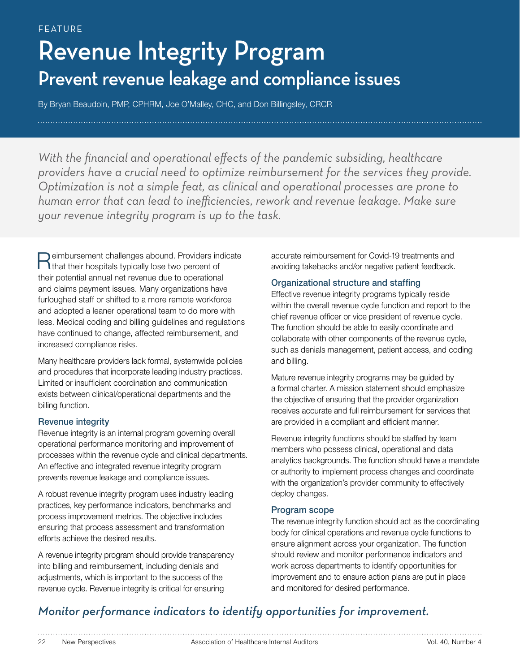# Revenue Integrity Program Prevent revenue leakage and compliance issues

By Bryan Beaudoin, PMP, CPHRM, Joe O'Malley, CHC, and Don Billingsley, CRCR

With the financial and operational effects of the pandemic subsiding, healthcare *providers have a crucial need to optimize reimbursement for the services they provide. Optimization is not a simple feat, as clinical and operational processes are prone to human error that can lead to inefficiencies, rework and revenue leakage. Make sure your revenue integrity program is up to the task.*

Reimbursement challenges abound. Providers indicate<br>
that their hospitals typically lose two percent of their potential annual net revenue due to operational and claims payment issues. Many organizations have furloughed staff or shifted to a more remote workforce and adopted a leaner operational team to do more with less. Medical coding and billing guidelines and regulations have continued to change, affected reimbursement, and increased compliance risks.

Many healthcare providers lack formal, systemwide policies and procedures that incorporate leading industry practices. Limited or insufficient coordination and communication exists between clinical/operational departments and the billing function.

# Revenue integrity

Revenue integrity is an internal program governing overall operational performance monitoring and improvement of processes within the revenue cycle and clinical departments. An effective and integrated revenue integrity program prevents revenue leakage and compliance issues.

A robust revenue integrity program uses industry leading practices, key performance indicators, benchmarks and process improvement metrics. The objective includes ensuring that process assessment and transformation efforts achieve the desired results.

A revenue integrity program should provide transparency into billing and reimbursement, including denials and adjustments, which is important to the success of the revenue cycle. Revenue integrity is critical for ensuring

accurate reimbursement for Covid-19 treatments and avoiding takebacks and/or negative patient feedback.

## Organizational structure and staffing

Effective revenue integrity programs typically reside within the overall revenue cycle function and report to the chief revenue officer or vice president of revenue cycle. The function should be able to easily coordinate and collaborate with other components of the revenue cycle, such as denials management, patient access, and coding and billing.

Mature revenue integrity programs may be guided by a formal charter. A mission statement should emphasize the objective of ensuring that the provider organization receives accurate and full reimbursement for services that are provided in a compliant and efficient manner.

Revenue integrity functions should be staffed by team members who possess clinical, operational and data analytics backgrounds. The function should have a mandate or authority to implement process changes and coordinate with the organization's provider community to effectively deploy changes.

## Program scope

The revenue integrity function should act as the coordinating body for clinical operations and revenue cycle functions to ensure alignment across your organization. The function should review and monitor performance indicators and work across departments to identify opportunities for improvement and to ensure action plans are put in place and monitored for desired performance.

# *Monitor performance indicators to identify opportunities for improvement.*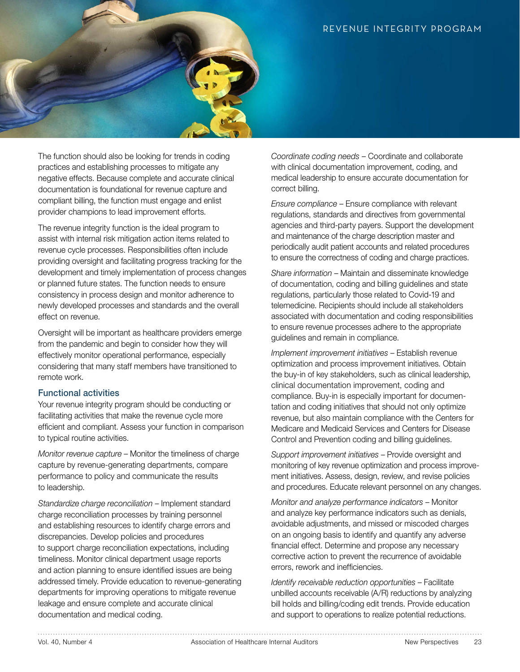

The function should also be looking for trends in coding practices and establishing processes to mitigate any negative effects. Because complete and accurate clinical documentation is foundational for revenue capture and compliant billing, the function must engage and enlist provider champions to lead improvement efforts.

The revenue integrity function is the ideal program to assist with internal risk mitigation action items related to revenue cycle processes. Responsibilities often include providing oversight and facilitating progress tracking for the development and timely implementation of process changes or planned future states. The function needs to ensure consistency in process design and monitor adherence to newly developed processes and standards and the overall effect on revenue.

Oversight will be important as healthcare providers emerge from the pandemic and begin to consider how they will effectively monitor operational performance, especially considering that many staff members have transitioned to remote work.

### Functional activities

Your revenue integrity program should be conducting or facilitating activities that make the revenue cycle more efficient and compliant. Assess your function in comparison to typical routine activities.

*Monitor revenue capture* – Monitor the timeliness of charge capture by revenue-generating departments, compare performance to policy and communicate the results to leadership.

*Standardize charge reconciliation* – Implement standard charge reconciliation processes by training personnel and establishing resources to identify charge errors and discrepancies. Develop policies and procedures to support charge reconciliation expectations, including timeliness. Monitor clinical department usage reports and action planning to ensure identified issues are being addressed timely. Provide education to revenue-generating departments for improving operations to mitigate revenue leakage and ensure complete and accurate clinical documentation and medical coding.

*Coordinate coding needs* – Coordinate and collaborate with clinical documentation improvement, coding, and medical leadership to ensure accurate documentation for correct billing.

*Ensure compliance* – Ensure compliance with relevant regulations, standards and directives from governmental agencies and third-party payers. Support the development and maintenance of the charge description master and periodically audit patient accounts and related procedures to ensure the correctness of coding and charge practices.

*Share information* – Maintain and disseminate knowledge of documentation, coding and billing guidelines and state regulations, particularly those related to Covid-19 and telemedicine. Recipients should include all stakeholders associated with documentation and coding responsibilities to ensure revenue processes adhere to the appropriate guidelines and remain in compliance.

*Implement improvement initiatives* – Establish revenue optimization and process improvement initiatives. Obtain the buy-in of key stakeholders, such as clinical leadership, clinical documentation improvement, coding and compliance. Buy-in is especially important for documentation and coding initiatives that should not only optimize revenue, but also maintain compliance with the Centers for Medicare and Medicaid Services and Centers for Disease Control and Prevention coding and billing guidelines.

*Support improvement initiatives* – Provide oversight and monitoring of key revenue optimization and process improvement initiatives. Assess, design, review, and revise policies and procedures. Educate relevant personnel on any changes.

*Monitor and analyze performance indicators* – Monitor and analyze key performance indicators such as denials, avoidable adjustments, and missed or miscoded charges on an ongoing basis to identify and quantify any adverse financial effect. Determine and propose any necessary corrective action to prevent the recurrence of avoidable errors, rework and inefficiencies.

*Identify receivable reduction opportunities* – Facilitate unbilled accounts receivable (A/R) reductions by analyzing bill holds and billing/coding edit trends. Provide education and support to operations to realize potential reductions.